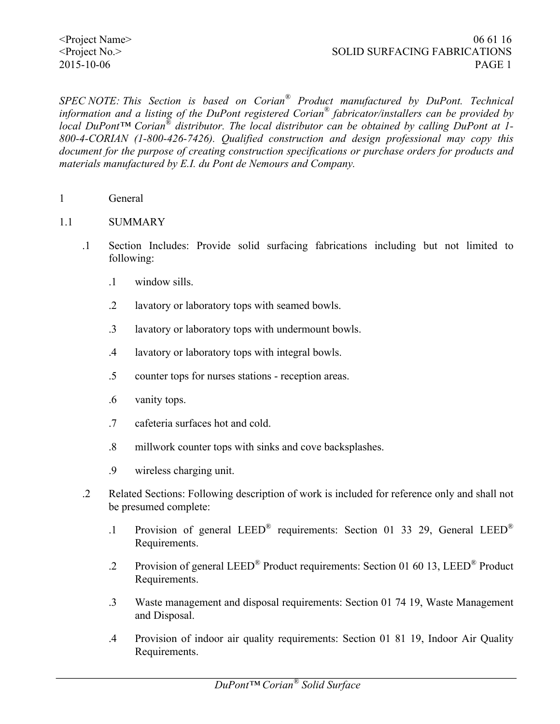*SPEC NOTE: This Section is based on Corian® Product manufactured by DuPont. Technical information and a listing of the DuPont registered Corian® fabricator/installers can be provided by local DuPont™ Corian® distributor. The local distributor can be obtained by calling DuPont at 1- 800-4-CORIAN (1-800-426-7426). Qualified construction and design professional may copy this document for the purpose of creating construction specifications or purchase orders for products and materials manufactured by E.I. du Pont de Nemours and Company.*

1 General

#### 1.1 SUMMARY

- .1 Section Includes: Provide solid surfacing fabrications including but not limited to following:
	- .1 window sills.
	- .2 lavatory or laboratory tops with seamed bowls.
	- .3 lavatory or laboratory tops with undermount bowls.
	- .4 lavatory or laboratory tops with integral bowls.
	- .5 counter tops for nurses stations reception areas.
	- .6 vanity tops.
	- .7 cafeteria surfaces hot and cold.
	- .8 millwork counter tops with sinks and cove backsplashes.
	- .9 wireless charging unit.
- .2 Related Sections: Following description of work is included for reference only and shall not be presumed complete:
	- .1 Provision of general LEED® requirements: Section 01 33 29, General LEED® Requirements.
	- .2 Provision of general LEED® Product requirements: Section 01 60 13, LEED® Product Requirements.
	- .3 Waste management and disposal requirements: Section 01 74 19, Waste Management and Disposal.
	- .4 Provision of indoor air quality requirements: Section 01 81 19, Indoor Air Quality Requirements.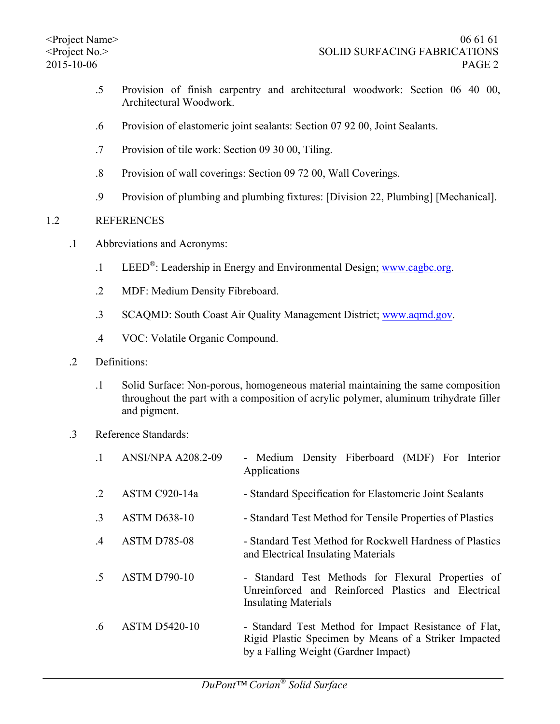- .5 Provision of finish carpentry and architectural woodwork: Section 06 40 00, Architectural Woodwork.
- .6 Provision of elastomeric joint sealants: Section 07 92 00, Joint Sealants.
- .7 Provision of tile work: Section 09 30 00, Tiling.
- .8 Provision of wall coverings: Section 09 72 00, Wall Coverings.
- .9 Provision of plumbing and plumbing fixtures: [Division 22, Plumbing] [Mechanical].

## 1.2 REFERENCES

- .1 Abbreviations and Acronyms:
	- .1 LEED<sup>®</sup>: Leadership in Energy and Environmental Design; www.cagbc.org.
	- .2 MDF: Medium Density Fibreboard.
	- .3 SCAQMD: South Coast Air Quality Management District; www.aqmd.gov.
	- .4 VOC: Volatile Organic Compound.
- .2 Definitions:
	- .1 Solid Surface: Non-porous, homogeneous material maintaining the same composition throughout the part with a composition of acrylic polymer, aluminum trihydrate filler and pigment.
- .3 Reference Standards:

|               | <b>ANSI/NPA A208.2-09</b> | - Medium Density Fiberboard (MDF) For Interior<br>Applications                                                                                         |  |  |  |  |  |
|---------------|---------------------------|--------------------------------------------------------------------------------------------------------------------------------------------------------|--|--|--|--|--|
| $\cdot$ 2     | ASTM C920-14a             | - Standard Specification for Elastomeric Joint Sealants                                                                                                |  |  |  |  |  |
| $\cdot$ 3     | <b>ASTM D638-10</b>       | - Standard Test Method for Tensile Properties of Plastics                                                                                              |  |  |  |  |  |
| $\mathcal{A}$ | <b>ASTM D785-08</b>       | - Standard Test Method for Rockwell Hardness of Plastics<br>and Electrical Insulating Materials                                                        |  |  |  |  |  |
| $.5\,$        | <b>ASTM D790-10</b>       | - Standard Test Methods for Flexural Properties of<br>Unreinforced and Reinforced Plastics and Electrical<br><b>Insulating Materials</b>               |  |  |  |  |  |
| $.6\,$        | <b>ASTM D5420-10</b>      | - Standard Test Method for Impact Resistance of Flat,<br>Rigid Plastic Specimen by Means of a Striker Impacted<br>by a Falling Weight (Gardner Impact) |  |  |  |  |  |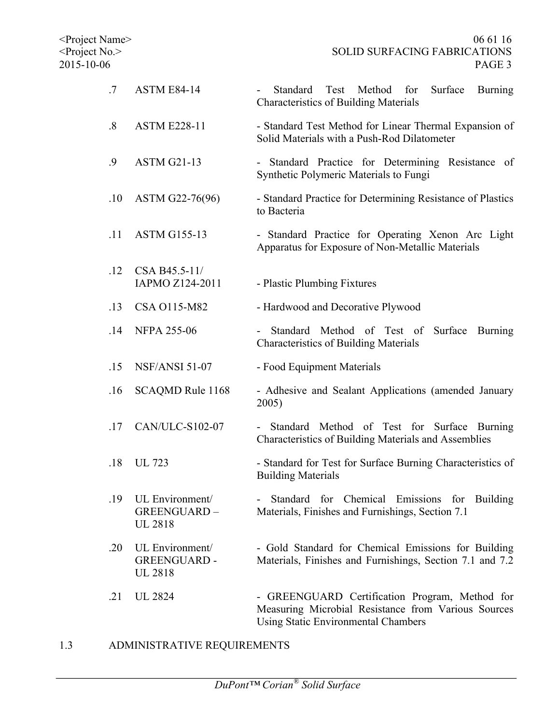| .7                | <b>ASTM E84-14</b>                                      | Test<br>Method for<br>Surface<br><b>Burning</b><br>Standard<br><b>Characteristics of Building Materials</b>                                         |  |  |  |  |
|-------------------|---------------------------------------------------------|-----------------------------------------------------------------------------------------------------------------------------------------------------|--|--|--|--|
| $\boldsymbol{.8}$ | <b>ASTM E228-11</b>                                     | - Standard Test Method for Linear Thermal Expansion of<br>Solid Materials with a Push-Rod Dilatometer                                               |  |  |  |  |
| .9                | <b>ASTM G21-13</b>                                      | - Standard Practice for Determining Resistance of<br>Synthetic Polymeric Materials to Fungi                                                         |  |  |  |  |
| .10               | ASTM G22-76(96)                                         | - Standard Practice for Determining Resistance of Plastics<br>to Bacteria                                                                           |  |  |  |  |
| .11               | <b>ASTM G155-13</b>                                     | - Standard Practice for Operating Xenon Arc Light<br>Apparatus for Exposure of Non-Metallic Materials                                               |  |  |  |  |
| .12               | CSA B45.5-11/<br>IAPMO Z124-2011                        | - Plastic Plumbing Fixtures                                                                                                                         |  |  |  |  |
| .13               | CSA 0115-M82                                            | - Hardwood and Decorative Plywood                                                                                                                   |  |  |  |  |
| .14               | <b>NFPA 255-06</b>                                      | Standard Method of Test of<br>Surface<br>Burning<br><b>Characteristics of Building Materials</b>                                                    |  |  |  |  |
| .15               | <b>NSF/ANSI 51-07</b>                                   | - Food Equipment Materials                                                                                                                          |  |  |  |  |
| .16               | SCAQMD Rule 1168                                        | - Adhesive and Sealant Applications (amended January<br>2005)                                                                                       |  |  |  |  |
| .17               | CAN/ULC-S102-07                                         | Standard Method of Test for Surface Burning<br>Characteristics of Building Materials and Assemblies                                                 |  |  |  |  |
| .18               | <b>UL 723</b>                                           | - Standard for Test for Surface Burning Characteristics of<br><b>Building Materials</b>                                                             |  |  |  |  |
| .19               | UL Environment/<br>GREENGUARD-<br><b>UL 2818</b>        | for Chemical Emissions for Building<br>Standard<br>Materials, Finishes and Furnishings, Section 7.1                                                 |  |  |  |  |
| .20               | UL Environment/<br><b>GREENGUARD-</b><br><b>UL 2818</b> | - Gold Standard for Chemical Emissions for Building<br>Materials, Finishes and Furnishings, Section 7.1 and 7.2                                     |  |  |  |  |
| .21               | <b>UL 2824</b>                                          | - GREENGUARD Certification Program, Method for<br>Measuring Microbial Resistance from Various Sources<br><b>Using Static Environmental Chambers</b> |  |  |  |  |

1.3 ADMINISTRATIVE REQUIREMENTS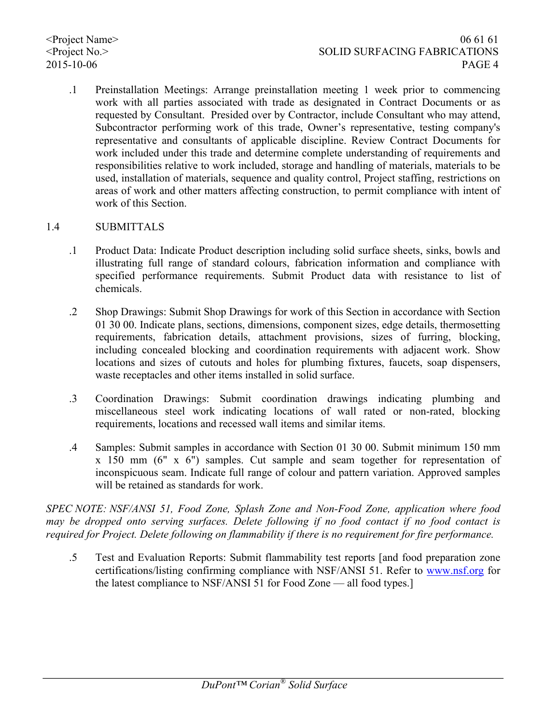.1 Preinstallation Meetings: Arrange preinstallation meeting 1 week prior to commencing work with all parties associated with trade as designated in Contract Documents or as requested by Consultant. Presided over by Contractor, include Consultant who may attend, Subcontractor performing work of this trade, Owner's representative, testing company's representative and consultants of applicable discipline. Review Contract Documents for work included under this trade and determine complete understanding of requirements and responsibilities relative to work included, storage and handling of materials, materials to be used, installation of materials, sequence and quality control, Project staffing, restrictions on areas of work and other matters affecting construction, to permit compliance with intent of work of this Section.

## 1.4 SUBMITTALS

- .1 Product Data: Indicate Product description including solid surface sheets, sinks, bowls and illustrating full range of standard colours, fabrication information and compliance with specified performance requirements. Submit Product data with resistance to list of chemicals.
- .2 Shop Drawings: Submit Shop Drawings for work of this Section in accordance with Section 01 30 00. Indicate plans, sections, dimensions, component sizes, edge details, thermosetting requirements, fabrication details, attachment provisions, sizes of furring, blocking, including concealed blocking and coordination requirements with adjacent work. Show locations and sizes of cutouts and holes for plumbing fixtures, faucets, soap dispensers, waste receptacles and other items installed in solid surface.
- .3 Coordination Drawings: Submit coordination drawings indicating plumbing and miscellaneous steel work indicating locations of wall rated or non-rated, blocking requirements, locations and recessed wall items and similar items.
- .4 Samples: Submit samples in accordance with Section 01 30 00. Submit minimum 150 mm x 150 mm (6" x 6") samples. Cut sample and seam together for representation of inconspicuous seam. Indicate full range of colour and pattern variation. Approved samples will be retained as standards for work.

*SPEC NOTE: NSF/ANSI 51, Food Zone, Splash Zone and Non-Food Zone, application where food may be dropped onto serving surfaces. Delete following if no food contact if no food contact is required for Project. Delete following on flammability if there is no requirement for fire performance.*

.5 Test and Evaluation Reports: Submit flammability test reports [and food preparation zone certifications/listing confirming compliance with NSF/ANSI 51. Refer to www.nsf.org for the latest compliance to NSF/ANSI 51 for Food Zone — all food types.]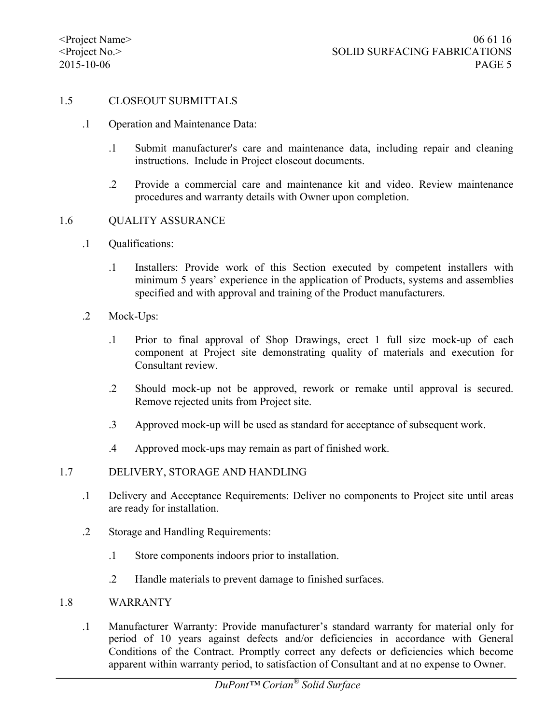#### 1.5 CLOSEOUT SUBMITTALS

- .1 Operation and Maintenance Data:
	- .1 Submit manufacturer's care and maintenance data, including repair and cleaning instructions. Include in Project closeout documents.
	- .2 Provide a commercial care and maintenance kit and video. Review maintenance procedures and warranty details with Owner upon completion.

#### 1.6 QUALITY ASSURANCE

- .1 Qualifications:
	- .1 Installers: Provide work of this Section executed by competent installers with minimum 5 years' experience in the application of Products, systems and assemblies specified and with approval and training of the Product manufacturers.
- .2 Mock-Ups:
	- .1 Prior to final approval of Shop Drawings, erect 1 full size mock-up of each component at Project site demonstrating quality of materials and execution for Consultant review.
	- .2 Should mock-up not be approved, rework or remake until approval is secured. Remove rejected units from Project site.
	- .3 Approved mock-up will be used as standard for acceptance of subsequent work.
	- .4 Approved mock-ups may remain as part of finished work.

#### 1.7 DELIVERY, STORAGE AND HANDLING

- .1 Delivery and Acceptance Requirements: Deliver no components to Project site until areas are ready for installation.
- .2 Storage and Handling Requirements:
	- .1 Store components indoors prior to installation.
	- .2 Handle materials to prevent damage to finished surfaces.

#### 1.8 WARRANTY

.1 Manufacturer Warranty: Provide manufacturer's standard warranty for material only for period of 10 years against defects and/or deficiencies in accordance with General Conditions of the Contract. Promptly correct any defects or deficiencies which become apparent within warranty period, to satisfaction of Consultant and at no expense to Owner.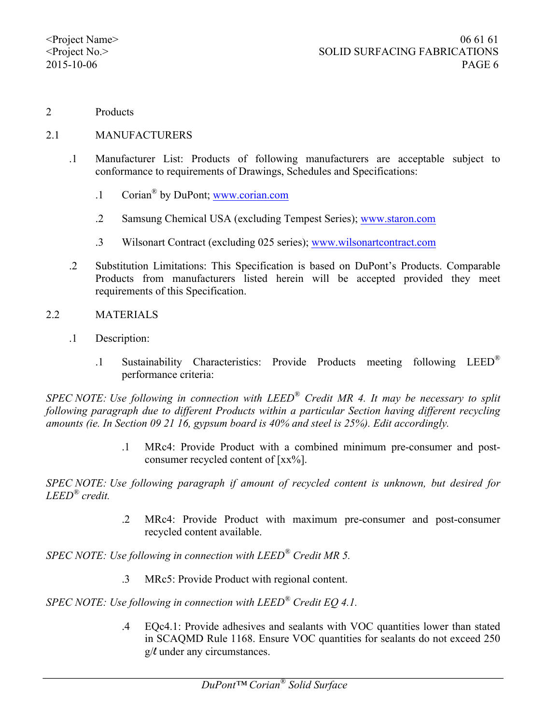2 Products

#### 2.1 MANUFACTURERS

- .1 Manufacturer List: Products of following manufacturers are acceptable subject to conformance to requirements of Drawings, Schedules and Specifications:
	- .1 Corian® by DuPont; www.corian.com
	- .2 Samsung Chemical USA (excluding Tempest Series); www.staron.com
	- .3 Wilsonart Contract (excluding 025 series); www.wilsonartcontract.com
- .2 Substitution Limitations: This Specification is based on DuPont's Products. Comparable Products from manufacturers listed herein will be accepted provided they meet requirements of this Specification.
- 2.2 MATERIALS
	- .1 Description:
		- .1 Sustainability Characteristics: Provide Products meeting following LEED® performance criteria:

*SPEC NOTE: Use following in connection with LEED® Credit MR 4. It may be necessary to split following paragraph due to different Products within a particular Section having different recycling amounts (ie. In Section 09 21 16, gypsum board is 40% and steel is 25%). Edit accordingly.*

> .1 MRc4: Provide Product with a combined minimum pre-consumer and postconsumer recycled content of  $[xx\%]$ .

*SPEC NOTE: Use following paragraph if amount of recycled content is unknown, but desired for LEED® credit.*

> .2 MRc4: Provide Product with maximum pre-consumer and post-consumer recycled content available.

*SPEC NOTE: Use following in connection with LEED® Credit MR 5.*

.3 MRc5: Provide Product with regional content.

*SPEC NOTE: Use following in connection with LEED® Credit EQ 4.1.*

.4 EQc4.1: Provide adhesives and sealants with VOC quantities lower than stated in SCAQMD Rule 1168. Ensure VOC quantities for sealants do not exceed 250 g/l under any circumstances.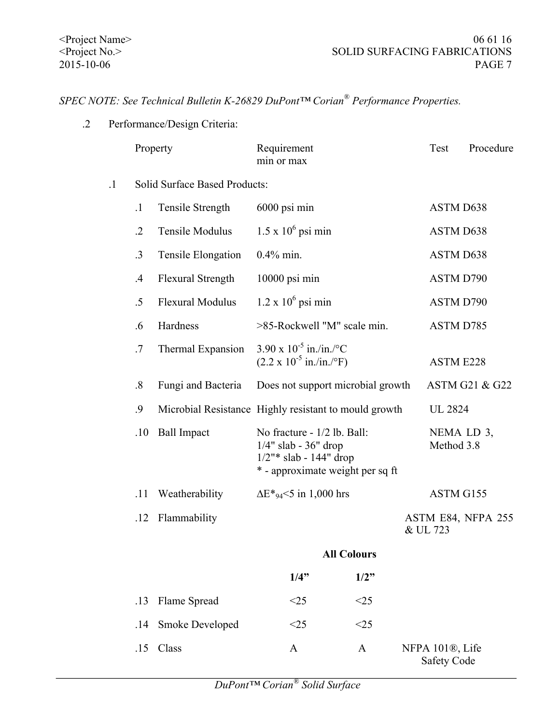# *SPEC NOTE: See Technical Bulletin K-26829 DuPont™ Corian® Performance Properties.*

.2 Performance/Design Criteria:

|         | Property                             |                                                       | Requirement<br>min or max                                                                                               |      |  | Test                                               | Procedure                 |  |
|---------|--------------------------------------|-------------------------------------------------------|-------------------------------------------------------------------------------------------------------------------------|------|--|----------------------------------------------------|---------------------------|--|
| $\cdot$ | <b>Solid Surface Based Products:</b> |                                                       |                                                                                                                         |      |  |                                                    |                           |  |
|         | $\cdot$ 1                            | Tensile Strength                                      | 6000 psi min                                                                                                            |      |  | <b>ASTM D638</b>                                   |                           |  |
|         | $\cdot$ .2                           | Tensile Modulus                                       | $1.5 \times 10^6$ psi min                                                                                               |      |  | <b>ASTM D638</b>                                   |                           |  |
|         | $\cdot$ 3                            | Tensile Elongation                                    | $0.4\%$ min.                                                                                                            |      |  | <b>ASTM D638</b>                                   |                           |  |
|         | $\mathcal{A}$                        | <b>Flexural Strength</b>                              | 10000 psi min                                                                                                           |      |  | ASTM D790                                          |                           |  |
|         | $.5\,$                               | <b>Flexural Modulus</b>                               | $1.2 \times 10^6$ psi min                                                                                               |      |  | <b>ASTM D790</b>                                   |                           |  |
|         | .6                                   | Hardness                                              | >85-Rockwell "M" scale min.                                                                                             |      |  | ASTM D785                                          |                           |  |
|         | .7                                   | Thermal Expansion                                     | $3.90 \times 10^{-5}$ in./in./°C<br>$(2.2 \times 10^{-5} \text{ in./in./}^{\circ} \text{F})$                            |      |  | <b>ASTM E228</b>                                   |                           |  |
|         | $\cdot$ 8                            | Fungi and Bacteria                                    | Does not support microbial growth                                                                                       |      |  |                                                    | <b>ASTM G21 &amp; G22</b> |  |
|         | .9                                   | Microbial Resistance Highly resistant to mould growth |                                                                                                                         |      |  |                                                    | <b>UL 2824</b>            |  |
|         | .10                                  | <b>Ball Impact</b>                                    | No fracture - 1/2 lb. Ball:<br>$1/4$ " slab - 36" drop<br>$1/2$ "* slab - 144" drop<br>* - approximate weight per sq ft |      |  | NEMA LD 3,<br>Method 3.8                           |                           |  |
|         | .11                                  | Weatherability                                        | $\Delta E^*$ <sub>94</sub> <5 in 1,000 hrs                                                                              |      |  | ASTM G155                                          |                           |  |
|         | .12                                  | Flammability                                          |                                                                                                                         |      |  | & UL 723                                           | ASTM E84, NFPA 255        |  |
|         |                                      |                                                       | <b>All Colours</b>                                                                                                      |      |  |                                                    |                           |  |
|         |                                      |                                                       | 1/4"                                                                                                                    | 1/2" |  |                                                    |                           |  |
|         | .13                                  | Flame Spread                                          | <25                                                                                                                     | <25  |  |                                                    |                           |  |
|         | .14                                  | Smoke Developed                                       | <25                                                                                                                     | <25  |  |                                                    |                           |  |
|         | .15                                  | Class                                                 | A                                                                                                                       | A    |  | NFPA 101 <sup>®</sup> , Life<br><b>Safety Code</b> |                           |  |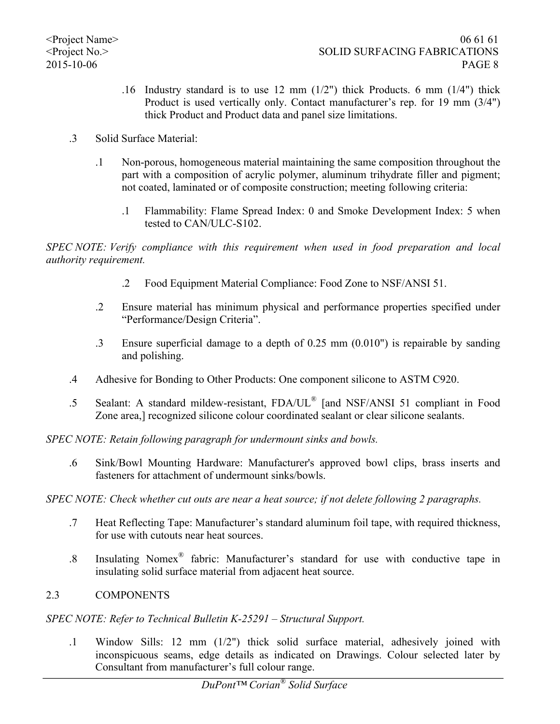- .16 Industry standard is to use 12 mm (1/2") thick Products. 6 mm (1/4") thick Product is used vertically only. Contact manufacturer's rep. for 19 mm (3/4") thick Product and Product data and panel size limitations.
- .3 Solid Surface Material:
	- .1 Non-porous, homogeneous material maintaining the same composition throughout the part with a composition of acrylic polymer, aluminum trihydrate filler and pigment; not coated, laminated or of composite construction; meeting following criteria:
		- .1 Flammability: Flame Spread Index: 0 and Smoke Development Index: 5 when tested to CAN/ULC-S102.

*SPEC NOTE: Verify compliance with this requirement when used in food preparation and local authority requirement.* 

- .2 Food Equipment Material Compliance: Food Zone to NSF/ANSI 51.
- .2 Ensure material has minimum physical and performance properties specified under "Performance/Design Criteria".
- .3 Ensure superficial damage to a depth of 0.25 mm (0.010") is repairable by sanding and polishing.
- .4 Adhesive for Bonding to Other Products: One component silicone to ASTM C920.
- .5 Sealant: A standard mildew-resistant, FDA/UL® [and NSF/ANSI 51 compliant in Food Zone area,] recognized silicone colour coordinated sealant or clear silicone sealants.

*SPEC NOTE: Retain following paragraph for undermount sinks and bowls.*

.6 Sink/Bowl Mounting Hardware: Manufacturer's approved bowl clips, brass inserts and fasteners for attachment of undermount sinks/bowls.

## *SPEC NOTE: Check whether cut outs are near a heat source; if not delete following 2 paragraphs.*

- .7 Heat Reflecting Tape: Manufacturer's standard aluminum foil tape, with required thickness, for use with cutouts near heat sources.
- .8 Insulating Nomex® fabric: Manufacturer's standard for use with conductive tape in insulating solid surface material from adjacent heat source.

## 2.3 COMPONENTS

## *SPEC NOTE: Refer to Technical Bulletin K-25291 – Structural Support.*

.1 Window Sills: 12 mm (1/2") thick solid surface material, adhesively joined with inconspicuous seams, edge details as indicated on Drawings. Colour selected later by Consultant from manufacturer's full colour range.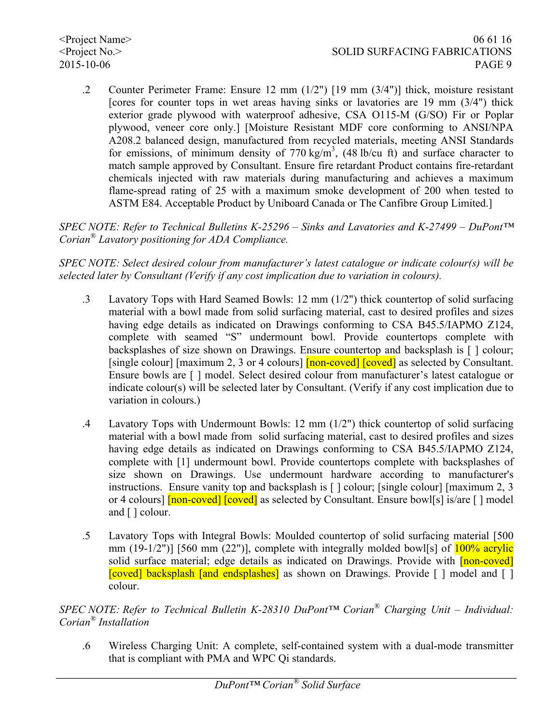.2 Counter Perimeter Frame: Ensure 12 mm (1/2") [19 mm (3/4")] thick, moisture resistant [cores for counter tops in wet areas having sinks or lavatories are 19 mm (3/4") thick exterior grade plywood with waterproof adhesive, CSA O115-M (G/SO) Fir or Poplar plywood, veneer core only.] [Moisture Resistant MDF core conforming to ANSI/NPA A208.2 balanced design, manufactured from recycled materials, meeting ANSI Standards for emissions, of minimum density of 770 kg/m<sup>3</sup>, (48 lb/cu ft) and surface character to match sample approved by Consultant. Ensure fire retardant Product contains fire-retardant chemicals injected with raw materials during manufacturing and achieves a maximum flame-spread rating of 25 with a maximum smoke development of 200 when tested to ASTM E84. Acceptable Product by Uniboard Canada or The Canfibre Group Limited.]

*SPEC NOTE: Refer to Technical Bulletins K-25296 – Sinks and Lavatories and K-27499 – DuPont™ Corian® Lavatory positioning for ADA Compliance.*

*SPEC NOTE: Select desired colour from manufacturer's latest catalogue or indicate colour(s) will be selected later by Consultant (Verify if any cost implication due to variation in colours).*

- .3 Lavatory Tops with Hard Seamed Bowls: 12 mm (1/2") thick countertop of solid surfacing material with a bowl made from solid surfacing material, cast to desired profiles and sizes having edge details as indicated on Drawings conforming to CSA B45.5/IAPMO Z124, complete with seamed "S" undermount bowl. Provide countertops complete with backsplashes of size shown on Drawings. Ensure countertop and backsplash is [ ] colour; [single colour] [maximum 2, 3 or 4 colours]  $\lceil$  non-coved]  $\lceil$  [coved] as selected by Consultant. Ensure bowls are [ ] model. Select desired colour from manufacturer's latest catalogue or indicate colour(s) will be selected later by Consultant. (Verify if any cost implication due to variation in colours.)
- .4 Lavatory Tops with Undermount Bowls: 12 mm (1/2") thick countertop of solid surfacing material with a bowl made from solid surfacing material, cast to desired profiles and sizes having edge details as indicated on Drawings conforming to CSA B45.5/IAPMO Z124, complete with [1] undermount bowl. Provide countertops complete with backsplashes of size shown on Drawings. Use undermount hardware according to manufacturer's instructions. Ensure vanity top and backsplash is [ ] colour; [single colour] [maximum 2, 3 or 4 colours] **[non-coved] [coved]** as selected by Consultant. Ensure bowl[s] is/are [] model and [ ] colour.
- .5 Lavatory Tops with Integral Bowls: Moulded countertop of solid surfacing material [500 mm  $(19-1/2")$  [560 mm  $(22")$ ], complete with integrally molded bowl[s] of  $100\%$  acrylic solid surface material; edge details as indicated on Drawings. Provide with **[non-coved]** [coved] backsplash [and endsplashes] as shown on Drawings. Provide  $\lceil \cdot \rceil$  model and  $\lceil \cdot \rceil$ colour.

*SPEC NOTE: Refer to Technical Bulletin K-28310 DuPont™ Corian® Charging Unit – Individual: Corian® Installation*

.6 Wireless Charging Unit: A complete, self-contained system with a dual-mode transmitter that is compliant with PMA and WPC Qi standards.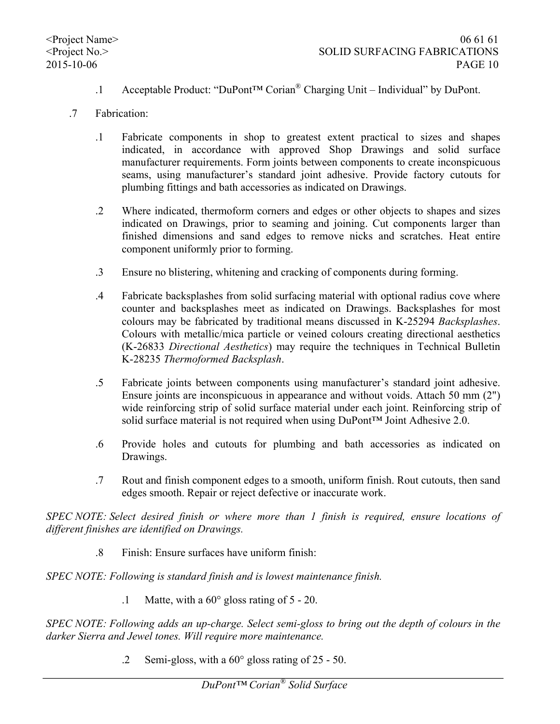- .1 Acceptable Product: "DuPont™ Corian® Charging Unit Individual" by DuPont.
- .7 Fabrication:
	- .1 Fabricate components in shop to greatest extent practical to sizes and shapes indicated, in accordance with approved Shop Drawings and solid surface manufacturer requirements. Form joints between components to create inconspicuous seams, using manufacturer's standard joint adhesive. Provide factory cutouts for plumbing fittings and bath accessories as indicated on Drawings.
	- .2 Where indicated, thermoform corners and edges or other objects to shapes and sizes indicated on Drawings, prior to seaming and joining. Cut components larger than finished dimensions and sand edges to remove nicks and scratches. Heat entire component uniformly prior to forming.
	- .3 Ensure no blistering, whitening and cracking of components during forming.
	- .4 Fabricate backsplashes from solid surfacing material with optional radius cove where counter and backsplashes meet as indicated on Drawings. Backsplashes for most colours may be fabricated by traditional means discussed in K-25294 *Backsplashes*. Colours with metallic/mica particle or veined colours creating directional aesthetics (K-26833 *Directional Aesthetics*) may require the techniques in Technical Bulletin K-28235 *Thermoformed Backsplash*.
	- .5 Fabricate joints between components using manufacturer's standard joint adhesive. Ensure joints are inconspicuous in appearance and without voids. Attach 50 mm (2") wide reinforcing strip of solid surface material under each joint. Reinforcing strip of solid surface material is not required when using DuPont™ Joint Adhesive 2.0.
	- .6 Provide holes and cutouts for plumbing and bath accessories as indicated on Drawings.
	- .7 Rout and finish component edges to a smooth, uniform finish. Rout cutouts, then sand edges smooth. Repair or reject defective or inaccurate work.

*SPEC NOTE: Select desired finish or where more than 1 finish is required, ensure locations of different finishes are identified on Drawings.*

.8 Finish: Ensure surfaces have uniform finish:

*SPEC NOTE: Following is standard finish and is lowest maintenance finish.*

.1 Matte, with a 60° gloss rating of 5 - 20.

*SPEC NOTE: Following adds an up-charge. Select semi-gloss to bring out the depth of colours in the darker Sierra and Jewel tones. Will require more maintenance.*

.2 Semi-gloss, with a 60° gloss rating of 25 - 50.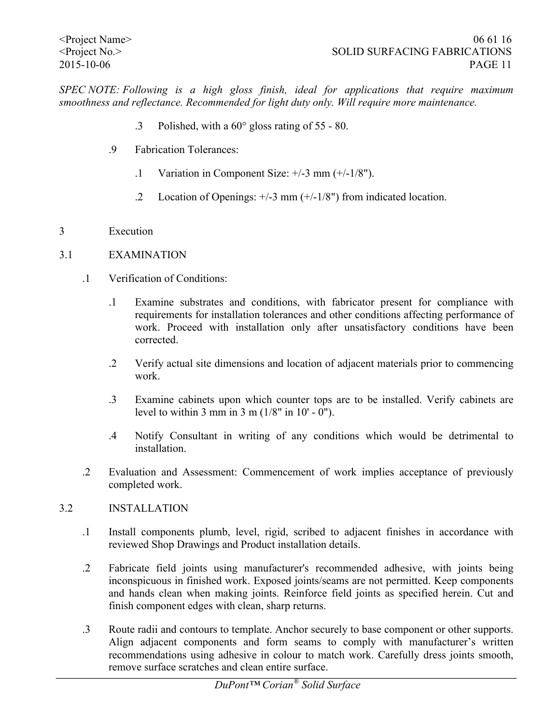*SPEC NOTE: Following is a high gloss finish, ideal for applications that require maximum smoothness and reflectance. Recommended for light duty only. Will require more maintenance.*

- .3 Polished, with a 60° gloss rating of 55 80.
- .9 Fabrication Tolerances:
	- .1 Variation in Component Size: +/-3 mm (+/-1/8").
	- .2 Location of Openings: +/-3 mm (+/-1/8") from indicated location.
- 3 Execution

## 3.1 EXAMINATION

- .1 Verification of Conditions:
	- .1 Examine substrates and conditions, with fabricator present for compliance with requirements for installation tolerances and other conditions affecting performance of work. Proceed with installation only after unsatisfactory conditions have been corrected.
	- .2 Verify actual site dimensions and location of adjacent materials prior to commencing work.
	- .3 Examine cabinets upon which counter tops are to be installed. Verify cabinets are level to within 3 mm in 3 m  $(1/8"$  in 10' - 0").
	- .4 Notify Consultant in writing of any conditions which would be detrimental to installation.
- .2 Evaluation and Assessment: Commencement of work implies acceptance of previously completed work.

## 3.2 INSTALLATION

- .1 Install components plumb, level, rigid, scribed to adjacent finishes in accordance with reviewed Shop Drawings and Product installation details.
- .2 Fabricate field joints using manufacturer's recommended adhesive, with joints being inconspicuous in finished work. Exposed joints/seams are not permitted. Keep components and hands clean when making joints. Reinforce field joints as specified herein. Cut and finish component edges with clean, sharp returns.
- .3 Route radii and contours to template. Anchor securely to base component or other supports. Align adjacent components and form seams to comply with manufacturer's written recommendations using adhesive in colour to match work. Carefully dress joints smooth, remove surface scratches and clean entire surface.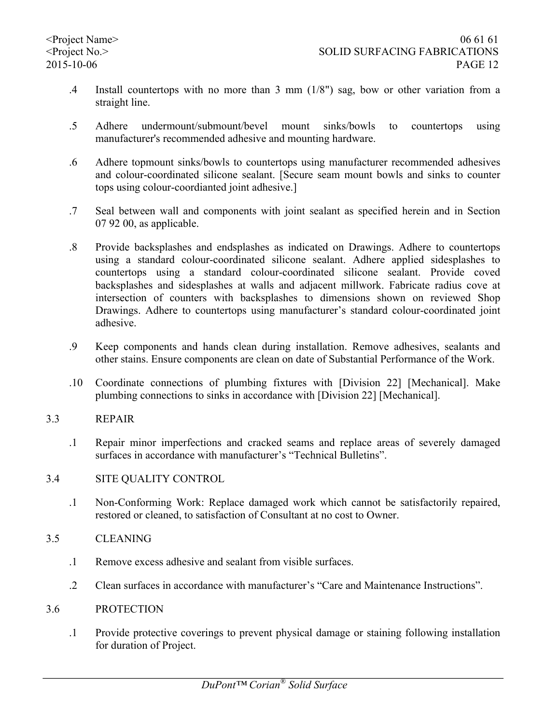- .4 Install countertops with no more than 3 mm (1/8") sag, bow or other variation from a straight line.
- .5 Adhere undermount/submount/bevel mount sinks/bowls to countertops using manufacturer's recommended adhesive and mounting hardware.
- .6 Adhere topmount sinks/bowls to countertops using manufacturer recommended adhesives and colour-coordinated silicone sealant. [Secure seam mount bowls and sinks to counter tops using colour-coordianted joint adhesive.]
- .7 Seal between wall and components with joint sealant as specified herein and in Section 07 92 00, as applicable.
- .8 Provide backsplashes and endsplashes as indicated on Drawings. Adhere to countertops using a standard colour-coordinated silicone sealant. Adhere applied sidesplashes to countertops using a standard colour-coordinated silicone sealant. Provide coved backsplashes and sidesplashes at walls and adjacent millwork. Fabricate radius cove at intersection of counters with backsplashes to dimensions shown on reviewed Shop Drawings. Adhere to countertops using manufacturer's standard colour-coordinated joint adhesive.
- .9 Keep components and hands clean during installation. Remove adhesives, sealants and other stains. Ensure components are clean on date of Substantial Performance of the Work.
- .10 Coordinate connections of plumbing fixtures with [Division 22] [Mechanical]. Make plumbing connections to sinks in accordance with [Division 22] [Mechanical].
- 3.3 REPAIR
	- .1 Repair minor imperfections and cracked seams and replace areas of severely damaged surfaces in accordance with manufacturer's "Technical Bulletins".
- 3.4 SITE QUALITY CONTROL
	- .1 Non-Conforming Work: Replace damaged work which cannot be satisfactorily repaired, restored or cleaned, to satisfaction of Consultant at no cost to Owner.
- 3.5 CLEANING
	- .1 Remove excess adhesive and sealant from visible surfaces.
	- .2 Clean surfaces in accordance with manufacturer's "Care and Maintenance Instructions".
- 3.6 PROTECTION
	- .1 Provide protective coverings to prevent physical damage or staining following installation for duration of Project.